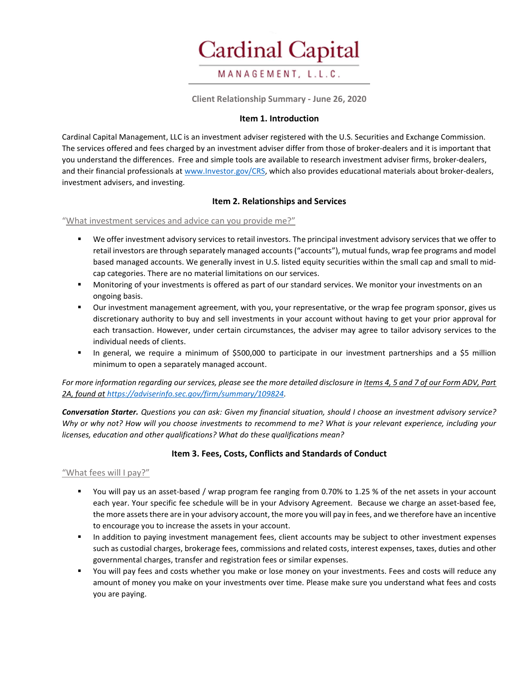

Client Relationship Summary - June 26, 2020

### Item 1. Introduction

Cardinal Capital Management, LLC is an investment adviser registered with the U.S. Securities and Exchange Commission. The services offered and fees charged by an investment adviser differ from those of broker-dealers and it is important that you understand the differences. Free and simple tools are available to research investment adviser firms, broker-dealers, and their financial professionals at www.Investor.gov/CRS, which also provides educational materials about broker-dealers, investment advisers, and investing.

## Item 2. Relationships and Services

#### "What investment services and advice can you provide me?"

- We offer investment advisory services to retail investors. The principal investment advisory services that we offer to retail investors are through separately managed accounts ("accounts"), mutual funds, wrap fee programs and model based managed accounts. We generally invest in U.S. listed equity securities within the small cap and small to midcap categories. There are no material limitations on our services.
- Monitoring of your investments is offered as part of our standard services. We monitor your investments on an ongoing basis.
- Our investment management agreement, with you, your representative, or the wrap fee program sponsor, gives us discretionary authority to buy and sell investments in your account without having to get your prior approval for each transaction. However, under certain circumstances, the adviser may agree to tailor advisory services to the individual needs of clients.
- In general, we require a minimum of \$500,000 to participate in our investment partnerships and a \$5 million minimum to open a separately managed account.

For more information regarding our services, please see the more detailed disclosure in Items 4, 5 and 7 of our Form ADV, Part 2A, found at https://adviserinfo.sec.gov/firm/summary/109824.

Conversation Starter. Questions you can ask: Given my financial situation, should I choose an investment advisory service? Why or why not? How will you choose investments to recommend to me? What is your relevant experience, including your licenses, education and other qualifications? What do these qualifications mean?

# Item 3. Fees, Costs, Conflicts and Standards of Conduct

#### "What fees will I pay?"

- You will pay us an asset-based / wrap program fee ranging from 0.70% to 1.25 % of the net assets in your account each year. Your specific fee schedule will be in your Advisory Agreement. Because we charge an asset-based fee, the more assets there are in your advisory account, the more you will pay in fees, and we therefore have an incentive to encourage you to increase the assets in your account.
- **In addition to paying investment management fees, client accounts may be subject to other investment expenses** such as custodial charges, brokerage fees, commissions and related costs, interest expenses, taxes, duties and other governmental charges, transfer and registration fees or similar expenses.
- You will pay fees and costs whether you make or lose money on your investments. Fees and costs will reduce any amount of money you make on your investments over time. Please make sure you understand what fees and costs you are paying.